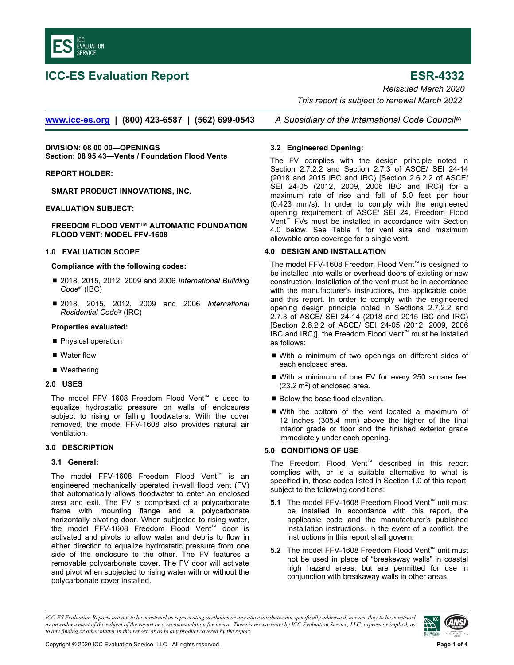

# **ICC-ES Evaluation Report ESR-4332**

*Reissued March 2020 This report is subject to renewal March 2022.* 

**www.icc-es.org | (800) 423-6587 | (562) 699-0543** *A Subsidiary of the International Code Council* ®

**DIVISION: 08 00 00—OPENINGS Section: 08 95 43—Vents / Foundation Flood Vents** 

# **REPORT HOLDER:**

**SMART PRODUCT INNOVATIONS, INC.** 

# **EVALUATION SUBJECT:**

#### **FREEDOM FLOOD VENT™ AUTOMATIC FOUNDATION FLOOD VENT: MODEL FFV-1608**

# **1.0 EVALUATION SCOPE**

#### **Compliance with the following codes:**

- 2018, 2015, 2012, 2009 and 2006 *International Building Code*® (IBC)
- 2018, 2015, 2012, 2009 and 2006 *International Residential Code*® (IRC)

#### **Properties evaluated:**

- Physical operation
- Water flow
- Weathering

#### **2.0 USES**

The model FFV–1608 Freedom Flood Vent™ is used to equalize hydrostatic pressure on walls of enclosures subject to rising or falling floodwaters. With the cover removed, the model FFV-1608 also provides natural air ventilation.

# **3.0 DESCRIPTION**

#### **3.1 General:**

The model FFV-1608 Freedom Flood Vent™ is an engineered mechanically operated in-wall flood vent (FV) that automatically allows floodwater to enter an enclosed area and exit. The FV is comprised of a polycarbonate frame with mounting flange and a polycarbonate horizontally pivoting door. When subjected to rising water, the model FFV-1608 Freedom Flood Vent™ door is activated and pivots to allow water and debris to flow in either direction to equalize hydrostatic pressure from one side of the enclosure to the other. The FV features a removable polycarbonate cover. The FV door will activate and pivot when subjected to rising water with or without the polycarbonate cover installed.

# **3.2 Engineered Opening:**

The FV complies with the design principle noted in Section 2.7.2.2 and Section 2.7.3 of ASCE/ SEI 24-14 (2018 and 2015 IBC and IRC) [Section 2.6.2.2 of ASCE/ SEI 24-05 (2012, 2009, 2006 IBC and IRC)] for a maximum rate of rise and fall of 5.0 feet per hour (0.423 mm/s). In order to comply with the engineered opening requirement of ASCE/ SEI 24, Freedom Flood Vent™ FVs must be installed in accordance with Section 4.0 below. See Table 1 for vent size and maximum allowable area coverage for a single vent.

#### **4.0 DESIGN AND INSTALLATION**

The model FFV-1608 Freedom Flood Vent™ is designed to be installed into walls or overhead doors of existing or new construction. Installation of the vent must be in accordance with the manufacturer's instructions, the applicable code, and this report. In order to comply with the engineered opening design principle noted in Sections 2.7.2.2 and 2.7.3 of ASCE/ SEI 24-14 (2018 and 2015 IBC and IRC) [Section 2.6.2.2 of ASCE/ SEI 24-05 (2012, 2009, 2006 IBC and IRC)], the Freedom Flood Vent™ must be installed as follows:

- With a minimum of two openings on different sides of each enclosed area.
- With a minimum of one FV for every 250 square feet  $(23.2 \text{ m}^2)$  of enclosed area.
- Below the base flood elevation.
- With the bottom of the vent located a maximum of 12 inches (305.4 mm) above the higher of the final interior grade or floor and the finished exterior grade immediately under each opening.

# **5.0 CONDITIONS OF USE**

The Freedom Flood Vent™ described in this report complies with, or is a suitable alternative to what is specified in, those codes listed in Section 1.0 of this report, subject to the following conditions:

- **5.1** The model FFV-1608 Freedom Flood Vent™ unit must be installed in accordance with this report, the applicable code and the manufacturer's published installation instructions. In the event of a conflict, the instructions in this report shall govern.
- **5.2** The model FFV-1608 Freedom Flood Vent™ unit must not be used in place of "breakaway walls" in coastal high hazard areas, but are permitted for use in conjunction with breakaway walls in other areas.

*ICC-ES Evaluation Reports are not to be construed as representing aesthetics or any other attributes not specifically addressed, nor are they to be construed as an endorsement of the subject of the report or a recommendation for its use. There is no warranty by ICC Evaluation Service, LLC, express or implied, as to any finding or other matter in this report, or as to any product covered by the report.*

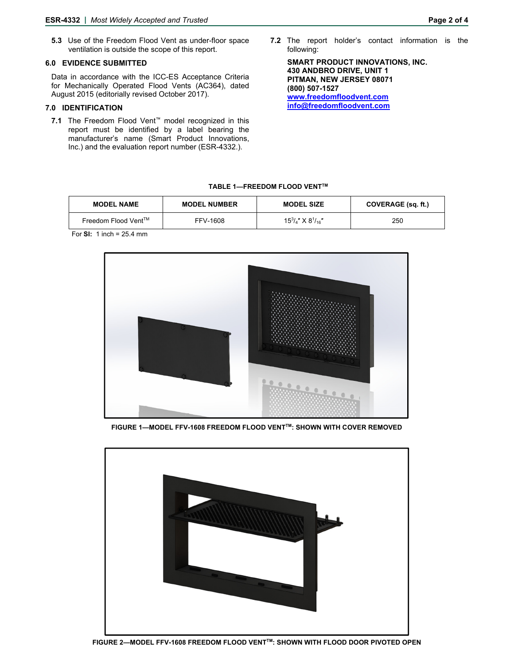**5.3** Use of the Freedom Flood Vent as under-floor space ventilation is outside the scope of this report.

#### **6.0 EVIDENCE SUBMITTED**

Data in accordance with the ICC-ES Acceptance Criteria for Mechanically Operated Flood Vents (AC364), dated August 2015 (editorially revised October 2017).

# **7.0 IDENTIFICATION**

- **7.1** The Freedom Flood Vent™ model recognized in this report must be identified by a label bearing the manufacturer's name (Smart Product Innovations, Inc.) and the evaluation report number (ESR-4332.).
- **7.2** The report holder's contact information is the following:

**SMART PRODUCT INNOVATIONS, INC. 430 ANDBRO DRIVE, UNIT 1 PITMAN, NEW JERSEY 08071 (800) 507-1527 www.freedomfloodvent.com [info@freedomfloodvent.com](mailto:info@freedomfloodvent.com)** 

#### **TABLE 1—FREEDOM FLOOD VENTTM**

| <b>MODEL NAME</b>   | <b>MODEL NUMBER</b> | <b>MODEL SIZE</b>                 | COVERAGE (sq. ft.) |
|---------------------|---------------------|-----------------------------------|--------------------|
| Freedom Flood Vent™ | FFV-1608            | $15^{3}/_{4}$ " X $8^{1}/_{16}$ " | 250                |

For **SI:** 1 inch = 25.4 mm



**FIGURE 1—MODEL FFV-1608 FREEDOM FLOOD VENT™: SHOWN WITH COVER REMOVED** 

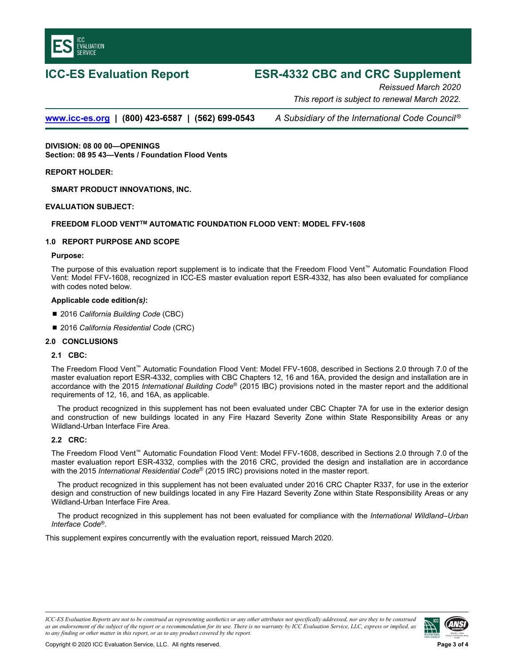

# **ICC-ES Evaluation Report ESR-4332 CBC and CRC Supplement**

*Reissued March 2020 This report is subject to renewal March 2022.* 

**www.icc-es.org | (800) 423-6587 | (562) 699-0543** *A Subsidiary of the International Code Council ®*

**DIVISION: 08 00 00—OPENINGS Section: 08 95 43—Vents / Foundation Flood Vents** 

**REPORT HOLDER:** 

**SMART PRODUCT INNOVATIONS, INC.** 

# **EVALUATION SUBJECT:**

# **FREEDOM FLOOD VENTTM AUTOMATIC FOUNDATION FLOOD VENT: MODEL FFV-1608**

# **1.0 REPORT PURPOSE AND SCOPE**

# **Purpose:**

The purpose of this evaluation report supplement is to indicate that the Freedom Flood Vent™ Automatic Foundation Flood Vent: Model FFV-1608, recognized in ICC-ES master evaluation report ESR-4332, has also been evaluated for compliance with codes noted below.

#### **Applicable code edition***(s)***:**

- 2016 *California Building Code* (CBC)
- 2016 *California Residential Code* (CRC)

#### **2.0 CONCLUSIONS**

# **2.1 CBC:**

The Freedom Flood Vent™ Automatic Foundation Flood Vent: Model FFV-1608, described in Sections 2.0 through 7.0 of the master evaluation report ESR-4332, complies with CBC Chapters 12, 16 and 16A, provided the design and installation are in accordance with the 2015 *International Building Code*® (2015 IBC) provisions noted in the master report and the additional requirements of 12, 16, and 16A, as applicable.

The product recognized in this supplement has not been evaluated under CBC Chapter 7A for use in the exterior design and construction of new buildings located in any Fire Hazard Severity Zone within State Responsibility Areas or any Wildland-Urban Interface Fire Area.

# **2.2 CRC:**

The Freedom Flood Vent™ Automatic Foundation Flood Vent: Model FFV-1608, described in Sections 2.0 through 7.0 of the master evaluation report ESR-4332, complies with the 2016 CRC, provided the design and installation are in accordance with the 2015 *International Residential Code*® (2015 IRC) provisions noted in the master report.

The product recognized in this supplement has not been evaluated under 2016 CRC Chapter R337, for use in the exterior design and construction of new buildings located in any Fire Hazard Severity Zone within State Responsibility Areas or any Wildland-Urban Interface Fire Area.

The product recognized in this supplement has not been evaluated for compliance with the *International Wildland–Urban Interface Code*®.

This supplement expires concurrently with the evaluation report, reissued March 2020.

*ICC-ES Evaluation Reports are not to be construed as representing aesthetics or any other attributes not specifically addressed, nor are they to be construed as an endorsement of the subject of the report or a recommendation for its use. There is no warranty by ICC Evaluation Service, LLC, express or implied, as to any finding or other matter in this report, or as to any product covered by the report.*